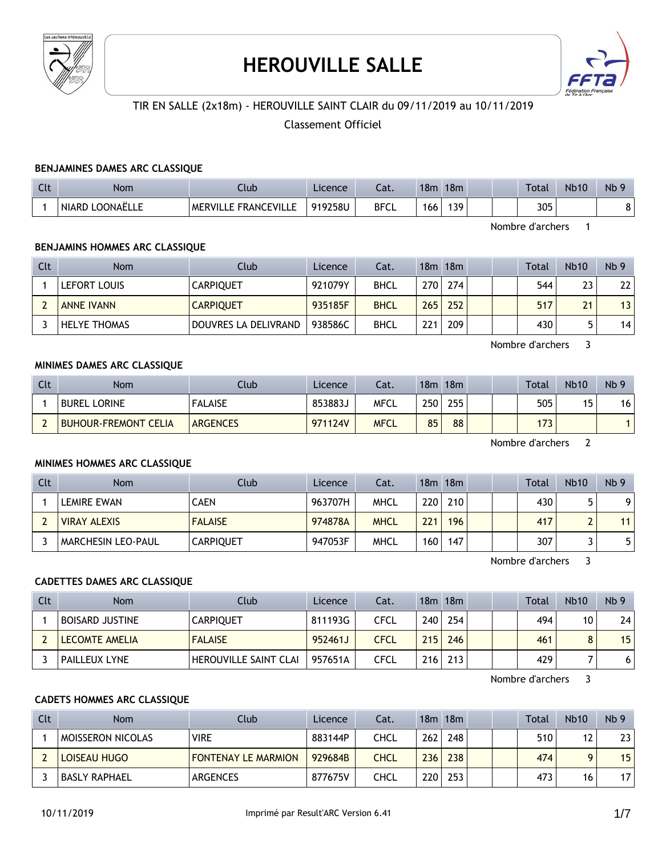

# **HEROUVILLE SALLE**



# TIR EN SALLE (2x18m) - HEROUVILLE SAINT CLAIR du 09/11/2019 au 10/11/2019

## Classement Officiel

#### **BENJAMINES DAMES ARC CLASSIQUE**

| C14<br>นเ | Nom                         | Club                 | Licence | - 1<br>cal. | 18m | 18m | Total | <b>Nb10</b> | N <sub>b</sub> 9 |
|-----------|-----------------------------|----------------------|---------|-------------|-----|-----|-------|-------------|------------------|
|           | <b>NIARD</b><br>I LOONAËLLE | MERVILLE FRANCEVILLE | 919258U | <b>BFCL</b> | 166 | 139 | 305   |             | ا ٥              |

Nombre d'archers 1

#### **BENJAMINS HOMMES ARC CLASSIQUE**

| Clt | <b>Nom</b>          | Club                 | Licence | Cat.        |     | $18m$ 18 $m$ |  | Total | <b>Nb10</b> | Nb <sub>9</sub> |
|-----|---------------------|----------------------|---------|-------------|-----|--------------|--|-------|-------------|-----------------|
|     | LEFORT LOUIS        | <b>CARPIOUET</b>     | 921079Y | <b>BHCL</b> | 270 | 274          |  | 544   | 23          | 22              |
|     | <b>ANNE IVANN</b>   | <b>CARPIQUET</b>     | 935185F | <b>BHCL</b> | 265 | 252          |  | 517   | 21          | 13              |
|     | <b>HELYE THOMAS</b> | DOUVRES LA DELIVRAND | 938586C | <b>BHCL</b> | 221 | 209          |  | 430   |             | 14              |

Nombre d'archers 3

## **MINIMES DAMES ARC CLASSIQUE**

| Clt | <b>Nom</b>           | Club            | Licence | Cat.        | 18m | 18m |  | <b>Total</b> | <b>Nb10</b> | Nb <sub>9</sub> |
|-----|----------------------|-----------------|---------|-------------|-----|-----|--|--------------|-------------|-----------------|
|     | <b>BUREL LORINE</b>  | <b>FALAISE</b>  | 853883J | MFCL        | 250 | 255 |  | 505          | 15          | 16              |
|     | BUHOUR-FREMONT CELIA | <b>ARGENCES</b> | 971124V | <b>MFCL</b> | 85  | 88  |  | 173          |             |                 |

Nombre d'archers 2

#### **MINIMES HOMMES ARC CLASSIQUE**

| Clt | <b>Nom</b>                | <b>Club</b>      | Licence | Cat.        |     | $18m$ 18 $m$ |  | Total | <b>Nb10</b> | Nb <sub>9</sub> |
|-----|---------------------------|------------------|---------|-------------|-----|--------------|--|-------|-------------|-----------------|
|     | LEMIRE EWAN               | CAEN             | 963707H | <b>MHCL</b> | 220 | 210          |  | 430   |             | Q               |
|     | <b>VIRAY ALEXIS</b>       | <b>FALAISE</b>   | 974878A | <b>MHCL</b> | 221 | 196          |  | 417   |             | 11              |
|     | <b>MARCHESIN LEO-PAUL</b> | <b>CARPIOUET</b> | 947053F | <b>MHCL</b> | 160 | 147          |  | 307   |             |                 |

Nombre d'archers 3

#### **CADETTES DAMES ARC CLASSIQUE**

| Clt | <b>Nom</b>            | Club                         | Licence | Cat. |     | $18m$ 18 $m$ |  | Total | <b>Nb10</b> | Nb <sub>9</sub> |
|-----|-----------------------|------------------------------|---------|------|-----|--------------|--|-------|-------------|-----------------|
|     | BOISARD JUSTINE       | <b>CARPIOUET</b>             | 811193G | CFCL | 240 | 254          |  | 494   | 10          | 24              |
|     | <b>LECOMTE AMELIA</b> | <b>FALAISE</b>               | 952461J | CFCL | 215 | 246          |  | 461   |             | 15              |
|     | <b>PAILLEUX LYNE</b>  | <b>HEROUVILLE SAINT CLAI</b> | 957651A | CFCL | 216 | 213          |  | 429   |             | 6               |

Nombre d'archers 3

#### **CADETS HOMMES ARC CLASSIQUE**

| Clt | <b>Nom</b>        | Club                       | Licence | Cat.        |                  | $18m$ 18 $m$ |  | Total | <b>Nb10</b> | Nb <sub>9</sub> |
|-----|-------------------|----------------------------|---------|-------------|------------------|--------------|--|-------|-------------|-----------------|
|     | MOISSERON NICOLAS | <b>VIRE</b>                | 883144P | CHCL        | 262              | 248          |  | 510   | 12          | 23              |
|     | LOISEAU HUGO      | <b>FONTENAY LE MARMION</b> | 929684B | <b>CHCL</b> | 236              | 238          |  | 474   |             | 15              |
|     | BASLY RAPHAEL     | ARGENCES                   | 877675V | CHCL        | 220 <sub>1</sub> | 253          |  | 473   | 16          | 17              |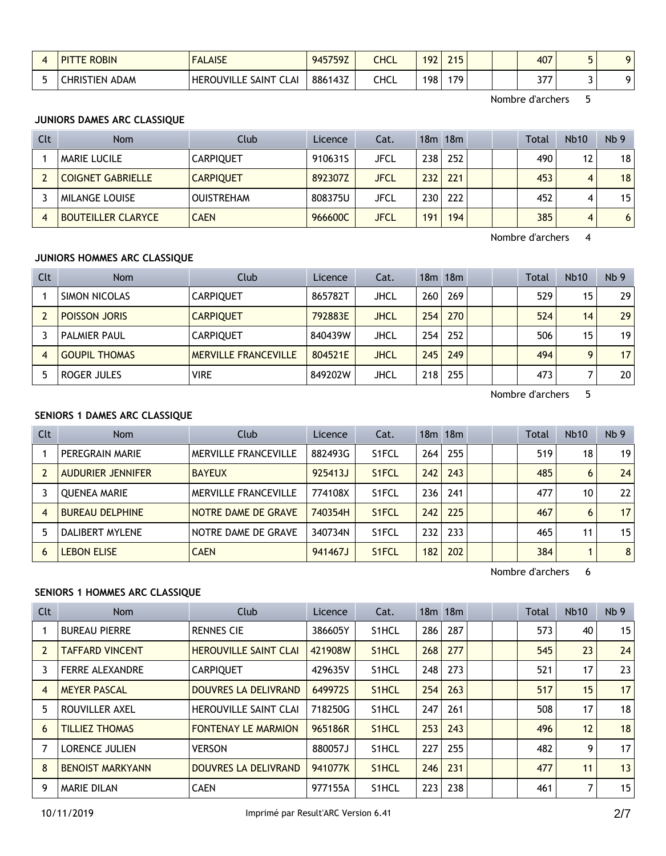| <b>E ROBIN</b><br><b>DIT</b> | <b>FALAISE</b>               | 945759Z | CHCL | 192 | 745<br><u>_ 1 J</u> |  | 407          |  |
|------------------------------|------------------------------|---------|------|-----|---------------------|--|--------------|--|
| <b>CHRISTIEN ADAM</b>        | <b>HEROUVILLE SAINT CLAI</b> | 886143Z | CHCL | 198 | 179                 |  | 277<br>J I I |  |

Nombre d'archers 5

# **JUNIORS DAMES ARC CLASSIQUE**

| Clt | <b>Nom</b>                | Club              | Licence | Cat.        |                  | 18 <sub>m</sub> 18 <sub>m</sub> |  | <b>Total</b> | <b>Nb10</b> | Nb <sub>9</sub> |
|-----|---------------------------|-------------------|---------|-------------|------------------|---------------------------------|--|--------------|-------------|-----------------|
|     | <b>MARIE LUCILE</b>       | <b>CARPIOUET</b>  | 910631S | JFCL        | 238              | 252                             |  | 490          | 12          | 18 <sup>1</sup> |
|     | <b>COIGNET GABRIELLE</b>  | <b>CARPIOUET</b>  | 892307Z | <b>JFCL</b> | 232              | 221                             |  | 453          | 4           | 18 <sup>1</sup> |
|     | <b>MILANGE LOUISE</b>     | <b>OUISTREHAM</b> | 808375U | JFCL        | 230 <sub>1</sub> | 222                             |  | 452          | 4           | 15 <sub>1</sub> |
| 4   | <b>BOUTEILLER CLARYCE</b> | <b>CAEN</b>       | 966600C | <b>JFCL</b> | 191              | 194                             |  | 385          | 4           | 6 <sup>1</sup>  |

Nombre d'archers 4

# **JUNIORS HOMMES ARC CLASSIQUE**

| Clt | <b>Nom</b>           | Club                        | Licence | Cat. |     | 18m 18m |  | <b>Total</b> | <b>Nb10</b> | Nb <sub>9</sub> |
|-----|----------------------|-----------------------------|---------|------|-----|---------|--|--------------|-------------|-----------------|
|     | SIMON NICOLAS        | <b>CARPIQUET</b>            | 865782T | JHCL | 260 | 269     |  | 529          | 15          | 29 <sub>1</sub> |
|     | <b>POISSON JORIS</b> | <b>CARPIOUET</b>            | 792883E | JHCL | 254 | 270     |  | 524          | 14          | 29 <sub>1</sub> |
|     | <b>PALMIER PAUL</b>  | <b>CARPIOUET</b>            | 840439W | JHCL | 254 | 252     |  | 506          | 15          | 19 <sub>1</sub> |
| 4   | <b>GOUPIL THOMAS</b> | <b>MERVILLE FRANCEVILLE</b> | 804521E | JHCL | 245 | 249     |  | 494          | $\mathbf Q$ | 17 <sup>1</sup> |
|     | ROGER JULES          | <b>VIRE</b>                 | 849202W | JHCL | 218 | 255     |  | 473          |             | 20 <sub>1</sub> |

Nombre d'archers 5

# **SENIORS 1 DAMES ARC CLASSIQUE**

| Clt            | <b>Nom</b>               | Club                        | Licence | Cat.               |     | 18m 18m |  | Total | <b>Nb10</b> | Nb <sub>9</sub> |
|----------------|--------------------------|-----------------------------|---------|--------------------|-----|---------|--|-------|-------------|-----------------|
|                | PEREGRAIN MARIE          | <b>MERVILLE FRANCEVILLE</b> | 882493G | S <sub>1</sub> FCL | 264 | 255     |  | 519   | 18          | 19              |
|                | <b>AUDURIER JENNIFER</b> | <b>BAYEUX</b>               | 925413J | S <sub>1</sub> FCL | 242 | 243     |  | 485   | 6           | 24              |
|                | <b>OUENEA MARIE</b>      | <b>MERVILLE FRANCEVILLE</b> | 774108X | S <sub>1</sub> FCL | 236 | 241     |  | 477   | 10          | 22              |
| $\overline{4}$ | <b>BUREAU DELPHINE</b>   | NOTRE DAME DE GRAVE         | 740354H | S <sub>1</sub> FCL | 242 | 225     |  | 467   | 6           | 17              |
|                | DALIBERT MYLENE          | NOTRE DAME DE GRAVE         | 340734N | S1FCL              | 232 | 233     |  | 465   | 11          | 15              |
| 6              | <b>LEBON ELISE</b>       | <b>CAEN</b>                 | 941467J | S <sub>1</sub> FCL | 182 | 202     |  | 384   |             | 8               |

Nombre d'archers 6

# **SENIORS 1 HOMMES ARC CLASSIQUE**

| Clt            | <b>Nom</b>              | Club                         | Licence | Cat.               |     | $18m$ 18 $m$ |  | Total | Nb10 | Nb <sub>9</sub> |
|----------------|-------------------------|------------------------------|---------|--------------------|-----|--------------|--|-------|------|-----------------|
|                | <b>BUREAU PIERRE</b>    | <b>RENNES CIE</b>            | 386605Y | S <sub>1</sub> HCL | 286 | 287          |  | 573   | 40   | 15              |
| $\overline{2}$ | <b>TAFFARD VINCENT</b>  | <b>HEROUVILLE SAINT CLAI</b> | 421908W | S <sub>1</sub> HCL | 268 | 277          |  | 545   | 23   | 24              |
| 3              | <b>FERRE ALEXANDRE</b>  | <b>CARPIOUET</b>             | 429635V | S <sub>1</sub> HCL | 248 | 273          |  | 521   | 17   | 23              |
| $\overline{4}$ | <b>MEYER PASCAL</b>     | DOUVRES LA DELIVRAND         | 649972S | S <sub>1</sub> HCL | 254 | 263          |  | 517   | 15   | 17              |
| 5              | ROUVILLER AXEL          | <b>HEROUVILLE SAINT CLAI</b> | 718250G | S <sub>1</sub> HCL | 247 | 261          |  | 508   | 17   | 18              |
| 6              | <b>TILLIEZ THOMAS</b>   | <b>FONTENAY LE MARMION</b>   | 965186R | S <sub>1</sub> HCL | 253 | 243          |  | 496   | 12   | 18              |
| 7              | <b>LORENCE JULIEN</b>   | <b>VERSON</b>                | 880057J | S <sub>1</sub> HCL | 227 | 255          |  | 482   | 9    | 17              |
| 8              | <b>BENOIST MARKYANN</b> | DOUVRES LA DELIVRAND         | 941077K | S <sub>1</sub> HCL | 246 | 231          |  | 477   | 11   | 13              |
| 9              | <b>MARIE DILAN</b>      | <b>CAEN</b>                  | 977155A | S <sub>1</sub> HCL | 223 | 238          |  | 461   | 7    | 15              |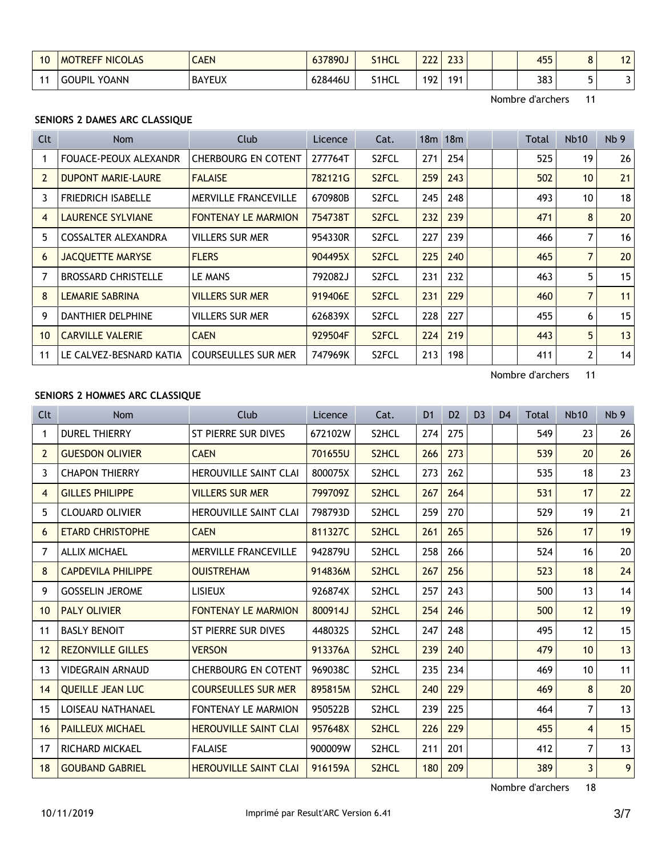| 10             | <b>MOTREFF NICOLAS</b> | <b>CAEN</b>   | 637890J | S <sub>1</sub> HCL | $\sim$<br>ᅩᅩ | $\sim$<br>ر ر_ |  | 455<br>тјј | - | $\overline{\phantom{a}}$<br>L |
|----------------|------------------------|---------------|---------|--------------------|--------------|----------------|--|------------|---|-------------------------------|
| $\overline{A}$ | YOANN<br><b>GOUPIL</b> | <b>BAYEUX</b> | 628446U | S1HCL              | 192          | 191            |  | 383        |   |                               |

Nombre d'archers 11

# **SENIORS 2 DAMES ARC CLASSIQUE**

| Clt            | Nom                          | Club                        | Licence | Cat.               |     | 18m 18m |  | Total | <b>Nb10</b>     | Nb <sub>9</sub> |
|----------------|------------------------------|-----------------------------|---------|--------------------|-----|---------|--|-------|-----------------|-----------------|
|                | <b>FOUACE-PEOUX ALEXANDR</b> | <b>CHERBOURG EN COTENT</b>  | 277764T | S <sub>2</sub> FCL | 271 | 254     |  | 525   | 19              | 26              |
| $\overline{2}$ | <b>DUPONT MARIE-LAURE</b>    | <b>FALAISE</b>              | 782121G | S <sub>2</sub> FCL | 259 | 243     |  | 502   | 10 <sup>1</sup> | 21              |
| 3              | <b>FRIEDRICH ISABELLE</b>    | <b>MERVILLE FRANCEVILLE</b> | 670980B | S <sub>2</sub> FCL | 245 | 248     |  | 493   | 10              | 18              |
| $\overline{4}$ | LAURENCE SYLVIANE            | <b>FONTENAY LE MARMION</b>  | 754738T | S <sub>2</sub> FCL | 232 | 239     |  | 471   | 8               | 20              |
| 5              | COSSALTER ALEXANDRA          | <b>VILLERS SUR MER</b>      | 954330R | S <sub>2</sub> FCL | 227 | 239     |  | 466   | 7               | 16              |
| 6              | <b>JACQUETTE MARYSE</b>      | <b>FLERS</b>                | 904495X | S <sub>2</sub> FCL | 225 | 240     |  | 465   | $\overline{7}$  | 20              |
| 7              | <b>BROSSARD CHRISTELLE</b>   | LE MANS                     | 792082J | S <sub>2</sub> FCL | 231 | 232     |  | 463   | 5               | 15              |
| 8              | LEMARIE SABRINA              | <b>VILLERS SUR MER</b>      | 919406E | S <sub>2</sub> FCL | 231 | 229     |  | 460   | 7               | 11              |
| 9              | <b>DANTHIER DELPHINE</b>     | VILLERS SUR MER             | 626839X | S <sub>2</sub> FCL | 228 | 227     |  | 455   | 6               | 15              |
| 10             | <b>CARVILLE VALERIE</b>      | <b>CAEN</b>                 | 929504F | S <sub>2</sub> FCL | 224 | 219     |  | 443   | 5               | 13              |
| 11             | LE CALVEZ-BESNARD KATIA      | <b>COURSEULLES SUR MER</b>  | 747969K | S <sub>2</sub> FCL | 213 | 198     |  | 411   | 2               | 14              |

Nombre d'archers 11

## **SENIORS 2 HOMMES ARC CLASSIQUE**

| Clt            | <b>Nom</b>                | Club                         | Licence | Cat.               | D <sub>1</sub> | D <sub>2</sub> | D <sub>3</sub> | D <sub>4</sub> | <b>Total</b> | <b>Nb10</b>      | Nb <sub>9</sub> |
|----------------|---------------------------|------------------------------|---------|--------------------|----------------|----------------|----------------|----------------|--------------|------------------|-----------------|
| 1              | <b>DUREL THIERRY</b>      | ST PIERRE SUR DIVES          | 672102W | S <sub>2</sub> HCL | 274            | 275            |                |                | 549          | 23               | 26              |
| 2              | <b>GUESDON OLIVIER</b>    | <b>CAEN</b>                  | 701655U | S <sub>2</sub> HCL | 266            | 273            |                |                | 539          | 20               | 26              |
| 3              | <b>CHAPON THIERRY</b>     | <b>HEROUVILLE SAINT CLAI</b> | 800075X | S <sub>2</sub> HCL | 273            | 262            |                |                | 535          | 18               | 23              |
| $\overline{4}$ | <b>GILLES PHILIPPE</b>    | <b>VILLERS SUR MER</b>       | 799709Z | S <sub>2</sub> HCL | 267            | 264            |                |                | 531          | 17               | 22              |
| 5              | <b>CLOUARD OLIVIER</b>    | <b>HEROUVILLE SAINT CLAI</b> | 798793D | S <sub>2</sub> HCL | 259            | 270            |                |                | 529          | 19               | 21              |
| 6              | <b>ETARD CHRISTOPHE</b>   | <b>CAEN</b>                  | 811327C | S <sub>2</sub> HCL | 261            | 265            |                |                | 526          | 17               | 19              |
| 7              | <b>ALLIX MICHAEL</b>      | <b>MERVILLE FRANCEVILLE</b>  | 942879U | S <sub>2</sub> HCL | 258            | 266            |                |                | 524          | 16               | 20              |
| 8              | <b>CAPDEVILA PHILIPPE</b> | <b>OUISTREHAM</b>            | 914836M | S <sub>2</sub> HCL | 267            | 256            |                |                | 523          | 18               | 24              |
| 9              | <b>GOSSELIN JEROME</b>    | <b>LISIEUX</b>               | 926874X | S2HCL              | 257            | 243            |                |                | 500          | 13               | 14              |
| 10             | <b>PALY OLIVIER</b>       | <b>FONTENAY LE MARMION</b>   | 800914J | S <sub>2</sub> HCL | 254            | 246            |                |                | 500          | 12               | 19              |
| 11             | <b>BASLY BENOIT</b>       | ST PIERRE SUR DIVES          | 448032S | S <sub>2</sub> HCL | 247            | 248            |                |                | 495          | 12               | 15              |
| 12             | <b>REZONVILLE GILLES</b>  | <b>VERSON</b>                | 913376A | S <sub>2</sub> HCL | 239            | 240            |                |                | 479          | 10 <sup>1</sup>  | 13              |
| 13             | <b>VIDEGRAIN ARNAUD</b>   | <b>CHERBOURG EN COTENT</b>   | 969038C | S <sub>2</sub> HCL | 235            | 234            |                |                | 469          | 10 <sup>10</sup> | 11              |
| 14             | <b>OUEILLE JEAN LUC</b>   | <b>COURSEULLES SUR MER</b>   | 895815M | S <sub>2</sub> HCL | 240            | 229            |                |                | 469          | 8                | 20              |
| 15             | LOISEAU NATHANAEL         | <b>FONTENAY LE MARMION</b>   | 950522B | S <sub>2</sub> HCL | 239            | 225            |                |                | 464          | $\overline{7}$   | 13              |
| 16             | <b>PAILLEUX MICHAEL</b>   | <b>HEROUVILLE SAINT CLAI</b> | 957648X | S2HCL              | 226            | 229            |                |                | 455          | $\overline{4}$   | 15              |
| 17             | RICHARD MICKAEL           | <b>FALAISE</b>               | 900009W | S <sub>2</sub> HCL | 211            | 201            |                |                | 412          | $\overline{7}$   | 13              |
| 18             | <b>GOUBAND GABRIEL</b>    | <b>HEROUVILLE SAINT CLAI</b> | 916159A | S <sub>2</sub> HCL | 180            | 209            |                |                | 389          | $\overline{3}$   | 9               |

Nombre d'archers 18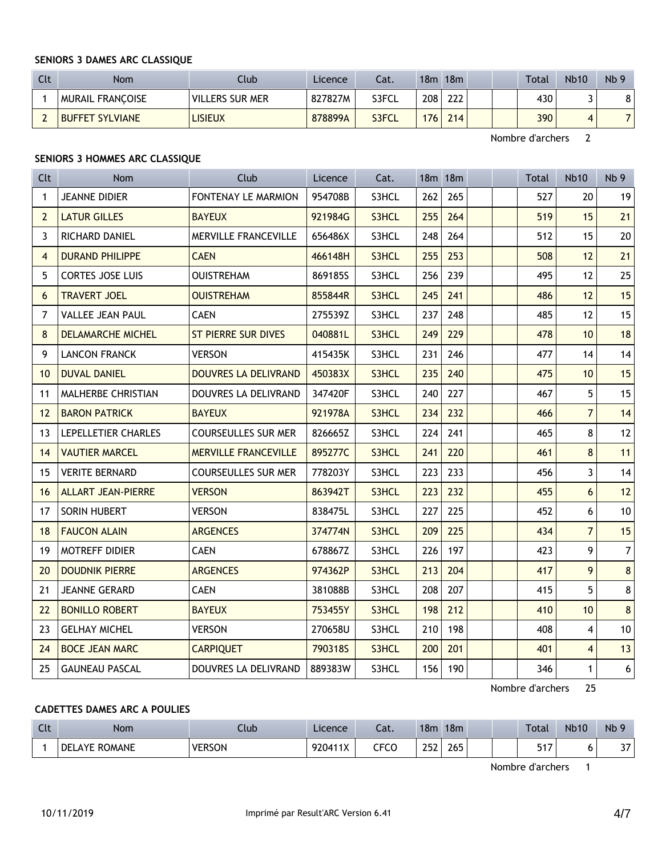#### **SENIORS 3 DAMES ARC CLASSIQUE**

| Clt | <b>Nom</b>              | Club                   | Licence | Cat.  | 18m              | 18m | <b>Total</b> | <b>Nb10</b> | Nb <sub>9</sub> |
|-----|-------------------------|------------------------|---------|-------|------------------|-----|--------------|-------------|-----------------|
|     | <b>MURAIL FRANCOISE</b> | <b>VILLERS SUR MER</b> | 827827M | S3FCL | 208 <sub>1</sub> | 222 | 430          |             | 8               |
|     | <b>BUFFET SYLVIANE</b>  | LISIEUX                | 878899A | S3FCL | 176              | 214 | 390          |             |                 |

Nombre d'archers 2

# **SENIORS 3 HOMMES ARC CLASSIQUE**

| <b>Clt</b>     | <b>Nom</b>                | Club                        | Licence | Cat.  |     | 18m 18m |  | Total | <b>Nb10</b>    | Nb <sub>9</sub> |
|----------------|---------------------------|-----------------------------|---------|-------|-----|---------|--|-------|----------------|-----------------|
| $\mathbf 1$    | <b>JEANNE DIDIER</b>      | FONTENAY LE MARMION         | 954708B | S3HCL | 262 | 265     |  | 527   | 20             | 19              |
| $\overline{2}$ | <b>LATUR GILLES</b>       | <b>BAYEUX</b>               | 921984G | S3HCL | 255 | 264     |  | 519   | 15             | 21              |
| 3              | RICHARD DANIEL            | MERVILLE FRANCEVILLE        | 656486X | S3HCL | 248 | 264     |  | 512   | 15             | 20              |
| $\overline{4}$ | <b>DURAND PHILIPPE</b>    | <b>CAEN</b>                 | 466148H | S3HCL | 255 | 253     |  | 508   | 12             | 21              |
| 5              | <b>CORTES JOSE LUIS</b>   | <b>OUISTREHAM</b>           | 869185S | S3HCL | 256 | 239     |  | 495   | 12             | 25              |
| 6              | <b>TRAVERT JOEL</b>       | <b>OUISTREHAM</b>           | 855844R | S3HCL | 245 | 241     |  | 486   | 12             | 15              |
| 7              | <b>VALLEE JEAN PAUL</b>   | <b>CAEN</b>                 | 275539Z | S3HCL | 237 | 248     |  | 485   | 12             | 15              |
| 8              | <b>DELAMARCHE MICHEL</b>  | <b>ST PIERRE SUR DIVES</b>  | 040881L | S3HCL | 249 | 229     |  | 478   | 10             | 18              |
| 9              | <b>LANCON FRANCK</b>      | <b>VERSON</b>               | 415435K | S3HCL | 231 | 246     |  | 477   | 14             | 14              |
| 10             | <b>DUVAL DANIEL</b>       | <b>DOUVRES LA DELIVRAND</b> | 450383X | S3HCL | 235 | 240     |  | 475   | 10             | 15              |
| 11             | MALHERBE CHRISTIAN        | DOUVRES LA DELIVRAND        | 347420F | S3HCL | 240 | 227     |  | 467   | 5              | 15              |
| 12             | <b>BARON PATRICK</b>      | <b>BAYEUX</b>               | 921978A | S3HCL | 234 | 232     |  | 466   | $\overline{7}$ | 14              |
| 13             | LEPELLETIER CHARLES       | <b>COURSEULLES SUR MER</b>  | 826665Z | S3HCL | 224 | 241     |  | 465   | 8              | 12              |
| 14             | <b>VAUTIER MARCEL</b>     | <b>MERVILLE FRANCEVILLE</b> | 895277C | S3HCL | 241 | 220     |  | 461   | 8              | 11              |
| 15             | <b>VERITE BERNARD</b>     | <b>COURSEULLES SUR MER</b>  | 778203Y | S3HCL | 223 | 233     |  | 456   | 3              | 14              |
| 16             | <b>ALLART JEAN-PIERRE</b> | <b>VERSON</b>               | 863942T | S3HCL | 223 | 232     |  | 455   | 6              | 12              |
| 17             | SORIN HUBERT              | <b>VERSON</b>               | 838475L | S3HCL | 227 | 225     |  | 452   | 6              | 10              |
| 18             | <b>FAUCON ALAIN</b>       | <b>ARGENCES</b>             | 374774N | S3HCL | 209 | 225     |  | 434   | $\overline{7}$ | 15              |
| 19             | MOTREFF DIDIER            | <b>CAEN</b>                 | 678867Z | S3HCL | 226 | 197     |  | 423   | 9              | $\overline{7}$  |
| 20             | <b>DOUDNIK PIERRE</b>     | <b>ARGENCES</b>             | 974362P | S3HCL | 213 | 204     |  | 417   | 9              | $8\phantom{1}$  |
| 21             | JEANNE GERARD             | <b>CAEN</b>                 | 381088B | S3HCL | 208 | 207     |  | 415   | 5              | 8               |
| 22             | <b>BONILLO ROBERT</b>     | <b>BAYEUX</b>               | 753455Y | S3HCL | 198 | 212     |  | 410   | 10             | $\bf 8$         |
| 23             | <b>GELHAY MICHEL</b>      | <b>VERSON</b>               | 270658U | S3HCL | 210 | 198     |  | 408   | 4              | $10\,$          |
| 24             | <b>BOCE JEAN MARC</b>     | <b>CARPIQUET</b>            | 790318S | S3HCL | 200 | 201     |  | 401   | 4              | 13              |
| 25             | <b>GAUNEAU PASCAL</b>     | <b>DOUVRES LA DELIVRAND</b> | 889383W | S3HCL | 156 | 190     |  | 346   | $\mathbf{1}$   | 6               |

Nombre d'archers 25

# **CADETTES DAMES ARC A POULIES**

| $\Gamma$<br><b>LIL</b> | <b>Nom</b>                    | Club          | Licence | $\sim$<br>Cal. | 18m        | 18m | <b>Total</b> | <b>Nb10</b> | Nb <sub>9</sub> |
|------------------------|-------------------------------|---------------|---------|----------------|------------|-----|--------------|-------------|-----------------|
|                        | <b>ROMANE</b><br>DEI<br>. AYF | <b>VERSON</b> | 920411X | CFCO           | วะว<br>ᅩJŁ | 265 | -47          |             | $\sim$<br>ر د   |

Nombre d'archers 1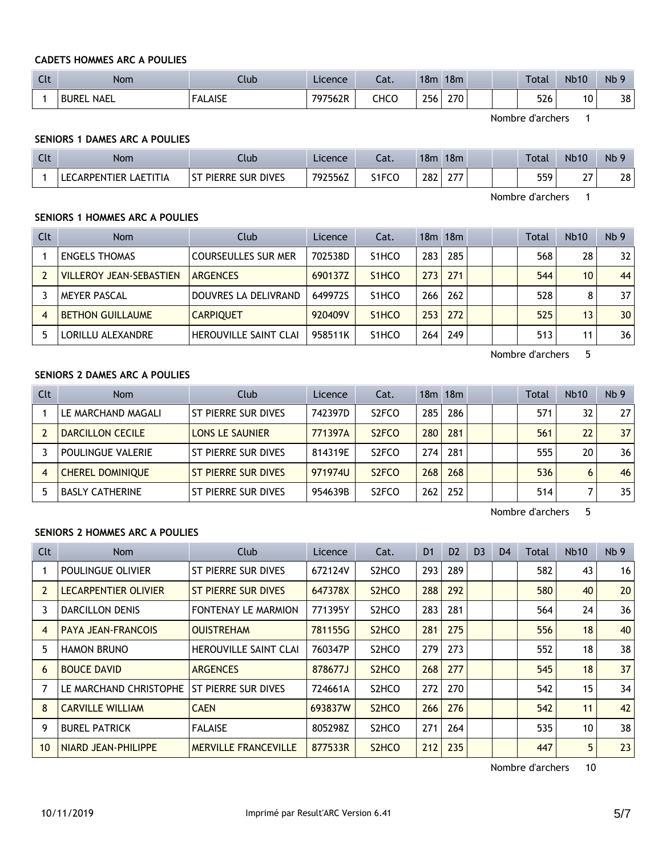## **CADETS HOMMES ARC A POULIES**

| $C1+$<br><b>CLC</b> | <b>Nom</b>                  | Club           | Licence | ົາ <del>1</del><br>cal. | 18 <sub>m</sub> | 18m | <b>Total</b> | <b>Nb10</b> | N <sub>b</sub> 9 |
|---------------------|-----------------------------|----------------|---------|-------------------------|-----------------|-----|--------------|-------------|------------------|
|                     | <b>NAEL</b><br><b>BUREL</b> | <b>FALAISE</b> | 797562R | снсс                    | 256             | 270 | 526          | 10          | 38               |

Nombre d'archers 1

## **SENIORS 1 DAMES ARC A POULIES**

| $\sim$<br><u>uu</u> | Nom                             | ∴lub                                 | Licence | $\sim$<br>-al. | 18 <sub>m</sub> | 18m                                 |  | <b>Total</b> | <b>Nb10</b>       | N <sub>b</sub> 9 |
|---------------------|---------------------------------|--------------------------------------|---------|----------------|-----------------|-------------------------------------|--|--------------|-------------------|------------------|
|                     | LAETITIA<br><b>LECARPENTIER</b> | <b>SUR DIVES</b><br><b>ST PIERRE</b> | 792556Z | S1FCO          | 282             | $\sim$ $\sim$ $\sim$<br><i>LI</i> . |  | 559          | $\sim$ $-$<br>- ' | 28               |

Nombre d'archers 1

## **SENIORS 1 HOMMES ARC A POULIES**

| Clt | <b>Nom</b>                     | Club                         | Licence | Cat.                           |                  | 18m 18m |  | Total | <b>Nb10</b> | Nb <sub>9</sub> |
|-----|--------------------------------|------------------------------|---------|--------------------------------|------------------|---------|--|-------|-------------|-----------------|
|     | <b>ENGELS THOMAS</b>           | <b>COURSEULLES SUR MER</b>   | 702538D | S <sub>1</sub> HCO             | 283              | 285     |  | 568   | 28          | 32              |
|     | <b>VILLEROY JEAN-SEBASTIEN</b> | <b>ARGENCES</b>              | 690137Z | S <sub>1</sub> H <sub>CO</sub> | 273              | 271     |  | 544   | 10          | 44              |
|     | <b>MEYER PASCAL</b>            | DOUVRES LA DELIVRAND         | 6499725 | S <sub>1</sub> HCO             | 266 <sub>1</sub> | 262     |  | 528   | 8           | 37              |
| 4   | <b>BETHON GUILLAUME</b>        | <b>CARPIOUET</b>             | 920409V | S <sub>1</sub> H <sub>CO</sub> | 253              | 272     |  | 525   | 13          | 30 <sup>°</sup> |
|     | LORILLU ALEXANDRE              | <b>HEROUVILLE SAINT CLAI</b> | 958511K | S <sub>1</sub> HCO             | 264              | 249     |  | 513   | 11          | 36              |

Nombre d'archers 5

## **SENIORS 2 DAMES ARC A POULIES**

| Clt | <b>Nom</b>               | Club                   | Licence | Cat.               |                  | 18m 18m |  | Total | <b>Nb10</b> | Nb <sub>9</sub> |
|-----|--------------------------|------------------------|---------|--------------------|------------------|---------|--|-------|-------------|-----------------|
|     | LE MARCHAND MAGALI       | ST PIERRE SUR DIVES    | 742397D | S <sub>2</sub> FCO | 285              | 286     |  | 571   | 32          | 271             |
|     | DARCILLON CECILE         | <b>LONS LE SAUNIER</b> | 771397A | S <sub>2</sub> FCO | 280              | 281     |  | 561   | 22          | 37 <sup>1</sup> |
|     | <b>POULINGUE VALERIE</b> | ST PIERRE SUR DIVES    | 814319E | S <sub>2</sub> FCO | 274              | 281     |  | 555   | 20          | 36 I            |
| 4   | <b>CHEREL DOMINIQUE</b>  | ST PIERRE SUR DIVES    | 971974U | S <sub>2</sub> FCO | 268 <sub>1</sub> | 268     |  | 536   | 6           | 46              |
|     | <b>BASLY CATHERINE</b>   | ST PIERRE SUR DIVES    | 954639B | S <sub>2</sub> FCO | 262              | 252     |  | 514   |             | 35              |

Nombre d'archers 5

# **SENIORS 2 HOMMES ARC A POULIES**

| <b>Clt</b> | Nom                        | Club                         | Licence | Cat.                           | D <sub>1</sub> | D <sub>2</sub> | D <sub>3</sub> | D <sub>4</sub> | Total | <b>Nb10</b> | Nb <sub>9</sub> |
|------------|----------------------------|------------------------------|---------|--------------------------------|----------------|----------------|----------------|----------------|-------|-------------|-----------------|
|            | POULINGUE OLIVIER          | ST PIERRE SUR DIVES          | 672124V | S <sub>2</sub> HCO             | 293            | 289            |                |                | 582   | 43          | 16              |
| 2          | LECARPENTIER OLIVIER       | ST PIERRE SUR DIVES          | 647378X | S <sub>2</sub> HC <sub>O</sub> | 288            | 292            |                |                | 580   | 40          | 20              |
| 3          | <b>DARCILLON DENIS</b>     | <b>FONTENAY LE MARMION</b>   | 771395Y | S <sub>2</sub> HC <sub>O</sub> | 283            | 281            |                |                | 564   | 24          | 36              |
| 4          | <b>PAYA JEAN-FRANCOIS</b>  | <b>OUISTREHAM</b>            | 781155G | S <sub>2</sub> HC <sub>O</sub> | 281            | 275            |                |                | 556   | 18          | 40              |
| 5          | <b>HAMON BRUNO</b>         | <b>HEROUVILLE SAINT CLAI</b> | 760347P | S <sub>2</sub> HCO             | 279            | 273            |                |                | 552   | 18          | 38              |
| 6          | <b>BOUCE DAVID</b>         | <b>ARGENCES</b>              | 878677J | S <sub>2</sub> HC <sub>O</sub> | 268            | 277            |                |                | 545   | 18          | 37              |
| 7          | LE MARCHAND CHRISTOPHE     | ST PIERRE SUR DIVES          | 724661A | S <sub>2</sub> HC <sub>O</sub> | 272            | 270            |                |                | 542   | 15          | 34              |
| 8          | <b>CARVILLE WILLIAM</b>    | <b>CAEN</b>                  | 693837W | S <sub>2</sub> H <sub>CO</sub> | 266            | 276            |                |                | 542   | 11          | 42              |
| 9          | <b>BUREL PATRICK</b>       | <b>FALAISE</b>               | 805298Z | S <sub>2</sub> HC <sub>O</sub> | 271            | 264            |                |                | 535   | 10          | 38              |
| 10         | <b>NIARD JEAN-PHILIPPE</b> | <b>MERVILLE FRANCEVILLE</b>  | 877533R | S <sub>2</sub> H <sub>CO</sub> | 212            | 235            |                |                | 447   | 5           | 23              |

Nombre d'archers 10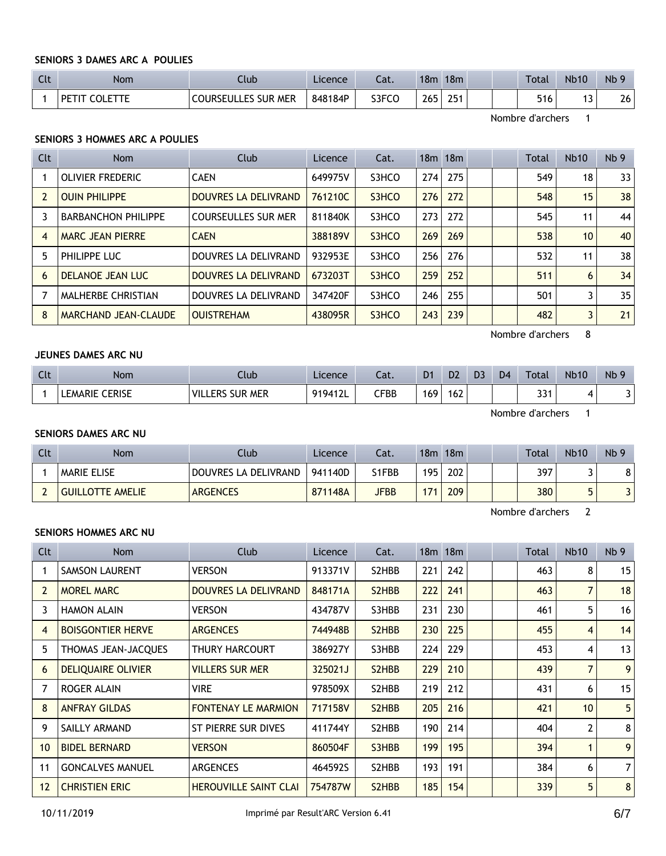## **SENIORS 3 DAMES ARC A POULIES**

| $C1+$<br>นเ | Nom   | Club                      | Licence | - 1<br>cal. | 18 <sub>m</sub> | 18m       | Total | <b>Nb10</b> | N <sub>b</sub> 9 |
|-------------|-------|---------------------------|---------|-------------|-----------------|-----------|-------|-------------|------------------|
|             | - DET | LLES SUR MER<br>Courseull | 848184P | S3FCO       | 265             | つらっ<br>Lυ | 516   | . J         | 26               |

Nombre d'archers 1

## **SENIORS 3 HOMMES ARC A POULIES**

| Clt            | <b>Nom</b>                  | Club                       | <b>Licence</b> | Cat.  |     | $18m$ 18 $m$ |  | Total | <b>Nb10</b>     | Nb <sub>9</sub> |
|----------------|-----------------------------|----------------------------|----------------|-------|-----|--------------|--|-------|-----------------|-----------------|
|                | OLIVIER FREDERIC            | <b>CAEN</b>                | 649975V        | S3HCO | 274 | 275          |  | 549   | 18              | 33              |
|                | <b>OUIN PHILIPPE</b>        | DOUVRES LA DELIVRAND       | 761210C        | S3HCO | 276 | 272          |  | 548   | 15              | 38              |
| 3              | <b>BARBANCHON PHILIPPE</b>  | <b>COURSEULLES SUR MER</b> | 811840K        | S3HCO | 273 | 272          |  | 545   | 11              | 44              |
| $\overline{4}$ | <b>MARC JEAN PIERRE</b>     | <b>CAEN</b>                | 388189V        | S3HCO | 269 | 269          |  | 538   | 10 <sup>°</sup> | 40              |
| 5              | PHILIPPE LUC                | DOUVRES LA DELIVRAND       | 932953E        | S3HCO | 256 | 276          |  | 532   | 11              | 38              |
| 6              | DELANOE JEAN LUC            | DOUVRES LA DELIVRAND       | 673203T        | S3HCO | 259 | 252          |  | 511   | 6               | 34              |
|                | MALHERBE CHRISTIAN          | DOUVRES LA DELIVRAND       | 347420F        | S3HCO | 246 | 255          |  | 501   | 3               | 35              |
| 8              | <b>MARCHAND JEAN-CLAUDE</b> | <b>OUISTREHAM</b>          | 438095R        | S3HCO | 243 | 239          |  | 482   | 3               | 21              |

Nombre d'archers 8

# **JEUNES DAMES ARC NU**

| $\sim$<br><b>CLC</b> | Nom               | Jlub                      | Licence        | $-1$<br>cal. | D <sub>1</sub> | D <sub>2</sub> | D <sub>3</sub> | D <sub>4</sub> | Total       | <b>Nb10</b> | N <sub>b</sub> 9 |
|----------------------|-------------------|---------------------------|----------------|--------------|----------------|----------------|----------------|----------------|-------------|-------------|------------------|
|                      | CERISE<br>LEMARIE | VIL.<br>MER<br>SUR<br>ERS | 9194121<br>╹┹┺ | ${\sf CFBB}$ | 169            | 162            |                |                | 224<br>ا دد |             |                  |

Nombre d'archers 1

#### **SENIORS DAMES ARC NU**

| Clt | <b>Nom</b>              | Club                 | Licence | Cat.        | 18m | 18m |  | <b>Total</b> | <b>Nb10</b> | Nb <sub>9</sub> |
|-----|-------------------------|----------------------|---------|-------------|-----|-----|--|--------------|-------------|-----------------|
|     | I MARIE ELISE           | DOUVRES LA DELIVRAND | 941140D | S1FBB       | 195 | 202 |  | 397          |             |                 |
|     | <b>GUILLOTTE AMELIE</b> | <b>ARGENCES</b>      | 871148A | <b>JFBB</b> | 171 | 209 |  | 380          |             |                 |

Nombre d'archers 2

## **SENIORS HOMMES ARC NU**

| Clt            | Nom                       | Club                         | Licence | Cat.                            |     | $18m$ 18 $m$ |  | Total | <b>Nb10</b>     | Nb <sub>9</sub> |
|----------------|---------------------------|------------------------------|---------|---------------------------------|-----|--------------|--|-------|-----------------|-----------------|
|                | <b>SAMSON LAURENT</b>     | <b>VERSON</b>                | 913371V | S2HBB                           | 221 | 242          |  | 463   | 8               | 15              |
| $\overline{2}$ | <b>MOREL MARC</b>         | DOUVRES LA DELIVRAND         | 848171A | S2HBB                           | 222 | 241          |  | 463   | 7               | 18              |
| 3              | <b>HAMON ALAIN</b>        | <b>VERSON</b>                | 434787V | S3HBB                           | 231 | 230          |  | 461   | 5               | 16              |
| 4              | <b>BOISGONTIER HERVE</b>  | <b>ARGENCES</b>              | 744948B | S2HBB                           | 230 | 225          |  | 455   | 4               | 14              |
| 5              | THOMAS JEAN-JACQUES       | THURY HARCOURT               | 386927Y | S3HBB                           | 224 | 229          |  | 453   | 4               | 13              |
| 6              | <b>DELIQUAIRE OLIVIER</b> | <b>VILLERS SUR MER</b>       | 325021J | S2HBB                           | 229 | 210          |  | 439   | $\overline{7}$  | 9 <sup>1</sup>  |
|                | ROGER ALAIN               | <b>VIRE</b>                  | 978509X | S2HBB                           | 219 | 212          |  | 431   | 6               | 15              |
| 8              | <b>ANFRAY GILDAS</b>      | <b>FONTENAY LE MARMION</b>   | 717158V | S2HBB                           | 205 | 216          |  | 421   | 10 <sup>°</sup> | 5 <sup>1</sup>  |
| 9              | SAILLY ARMAND             | ST PIERRE SUR DIVES          | 411744Y | S2HBB                           | 190 | 214          |  | 404   | 2               | 8 <sup>1</sup>  |
| 10             | <b>BIDEL BERNARD</b>      | <b>VERSON</b>                | 860504F | S3HBB                           | 199 | 195          |  | 394   | 1               | 9 <sup>1</sup>  |
| 11             | <b>GONCALVES MANUEL</b>   | <b>ARGENCES</b>              | 464592S | S2HBB                           | 193 | 191          |  | 384   | 6               | 7 <sup>1</sup>  |
| 12             | <b>CHRISTIEN ERIC</b>     | <b>HEROUVILLE SAINT CLAI</b> | 754787W | S <sub>2</sub> H <sub>B</sub> B | 185 | 154          |  | 339   | 5               | 8 <sup>1</sup>  |